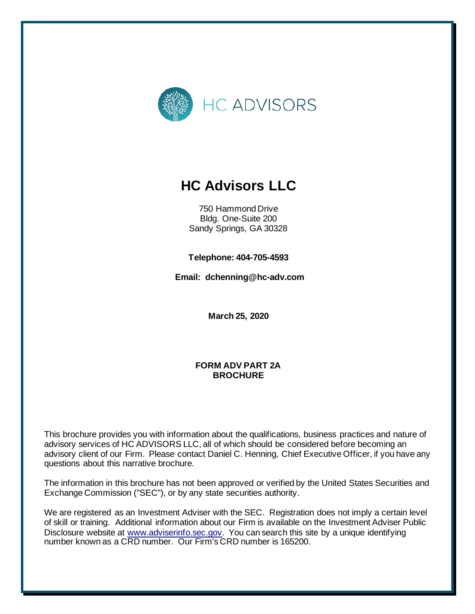

# **HC Advisors LLC**

750 Hammond Drive Bldg. One-Suite 200 Sandy Springs, GA 30328

**Telephone: 404-705-4593**

**Email: dchenning@hc-adv.com**

**March 25, 2020**

#### **FORM ADV PART 2A BROCHURE**

This brochure provides you with information about the qualifications, business practices and nature of advisory services of HC ADVISORS LLC, all of which should be considered before becoming an advisory client of our Firm. Please contact Daniel C. Henning, Chief Executive Officer, if you have any questions about this narrative brochure.

The information in this brochure has not been approved or verified by the United States Securities and Exchange Commission ("SEC"), or by any state securities authority.

We are registered as an Investment Adviser with the SEC. Registration does not imply a certain level of skill or training. Additional information about our Firm is available on the Investment Adviser Public Disclosure website at [www.adviserinfo.sec.gov.](http://www.adviserinfo.sec.gov/) You can search this site by a unique identifying number known as a CRD number. Our Firm's CRD number is 165200.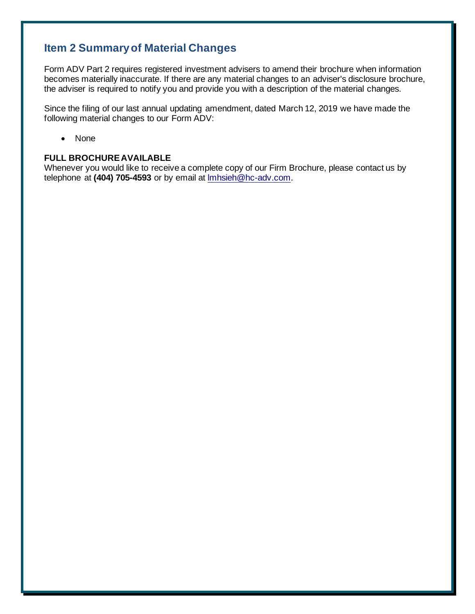# <span id="page-1-0"></span>**Item 2 Summary of Material Changes**

Form ADV Part 2 requires registered investment advisers to amend their brochure when information becomes materially inaccurate. If there are any material changes to an adviser's disclosure brochure, the adviser is required to notify you and provide you with a description of the material changes.

Since the filing of our last annual updating amendment, dated March 12, 2019 we have made the following material changes to our Form ADV:

• None

#### **FULL BROCHURE AVAILABLE**

Whenever you would like to receive a complete copy of our Firm Brochure, please contact us by telephone at **(404) 705-4593** or by email at [lmhsieh@hc-adv.com.](mailto:lmhsieh@hc-adv.com)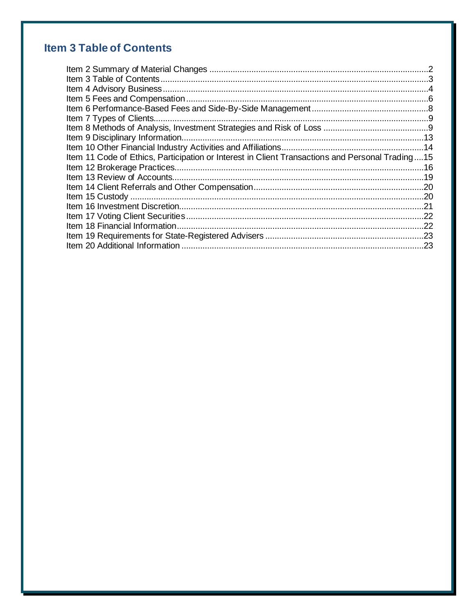# **Item 3 Table of Contents**

| Item 11 Code of Ethics, Participation or Interest in Client Transactions and Personal Trading15 |  |
|-------------------------------------------------------------------------------------------------|--|
|                                                                                                 |  |
|                                                                                                 |  |
|                                                                                                 |  |
|                                                                                                 |  |
|                                                                                                 |  |
|                                                                                                 |  |
|                                                                                                 |  |
|                                                                                                 |  |
|                                                                                                 |  |
|                                                                                                 |  |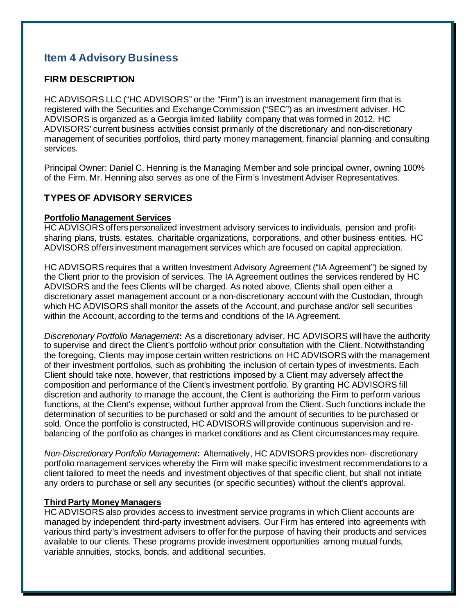# <span id="page-3-0"></span>**Item 4 Advisory Business**

#### **FIRM DESCRIPTION**

HC ADVISORS LLC ("HC ADVISORS" or the "Firm") is an investment management firm that is registered with the Securities and Exchange Commission ("SEC") as an investment adviser. HC ADVISORS is organized as a Georgia limited liability company that was formed in 2012. HC ADVISORS' current business activities consist primarily of the discretionary and non-discretionary management of securities portfolios, third party money management, financial planning and consulting services.

Principal Owner: Daniel C. Henning is the Managing Member and sole principal owner, owning 100% of the Firm. Mr. Henning also serves as one of the Firm's Investment Adviser Representatives.

#### **TYPES OF ADVISORY SERVICES**

#### **Portfolio Management Services**

HC ADVISORS offers personalized investment advisory services to individuals, pension and profitsharing plans, trusts, estates, charitable organizations, corporations, and other business entities. HC ADVISORS offers investment management services which are focused on capital appreciation.

HC ADVISORS requires that a written Investment Advisory Agreement ("IA Agreement") be signed by the Client prior to the provision of services. The IA Agreement outlines the services rendered by HC ADVISORS and the fees Clients will be charged. As noted above, Clients shall open either a discretionary asset management account or a non-discretionary account with the Custodian, through which HC ADVISORS shall monitor the assets of the Account, and purchase and/or sell securities within the Account, according to the terms and conditions of the IA Agreement.

*Discretionary Portfolio Management***:** As a discretionary adviser, HC ADVISORS will have the authority to supervise and direct the Client's portfolio without prior consultation with the Client. Notwithstanding the foregoing, Clients may impose certain written restrictions on HC ADVISORS with the management of their investment portfolios, such as prohibiting the inclusion of certain types of investments. Each Client should take note, however, that restrictions imposed by a Client may adversely affect the composition and performance of the Client's investment portfolio. By granting HC ADVISORS fill discretion and authority to manage the account, the Client is authorizing the Firm to perform various functions, at the Client's expense, without further approval from the Client. Such functions include the determination of securities to be purchased or sold and the amount of securities to be purchased or sold. Once the portfolio is constructed, HC ADVISORS will provide continuous supervision and rebalancing of the portfolio as changes in market conditions and as Client circumstances may require.

*Non-Discretionary Portfolio Management***:** Alternatively, HC ADVISORS provides non- discretionary portfolio management services whereby the Firm will make specific investment recommendations to a client tailored to meet the needs and investment objectives of that specific client, but shall not initiate any orders to purchase or sell any securities (or specific securities) without the client's approval.

#### **Third Party Money Managers**

HC ADVISORS also provides access to investment service programs in which Client accounts are managed by independent third-party investment advisers. Our Firm has entered into agreements with various third party's investment advisers to offer for the purpose of having their products and services available to our clients. These programs provide investment opportunities among mutual funds, variable annuities, stocks, bonds, and additional securities.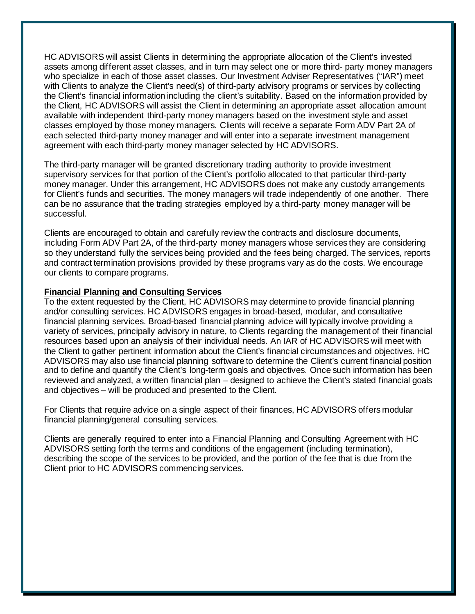HC ADVISORS will assist Clients in determining the appropriate allocation of the Client's invested assets among different asset classes, and in turn may select one or more third- party money managers who specialize in each of those asset classes. Our Investment Adviser Representatives ("IAR") meet with Clients to analyze the Client's need(s) of third-party advisory programs or services by collecting the Client's financial information including the client's suitability. Based on the information provided by the Client, HC ADVISORS will assist the Client in determining an appropriate asset allocation amount available with independent third-party money managers based on the investment style and asset classes employed by those money managers. Clients will receive a separate Form ADV Part 2A of each selected third-party money manager and will enter into a separate investment management agreement with each third-party money manager selected by HC ADVISORS.

The third-party manager will be granted discretionary trading authority to provide investment supervisory services for that portion of the Client's portfolio allocated to that particular third-party money manager. Under this arrangement, HC ADVISORS does not make any custody arrangements for Client's funds and securities. The money managers will trade independently of one another. There can be no assurance that the trading strategies employed by a third-party money manager will be successful.

Clients are encouraged to obtain and carefully review the contracts and disclosure documents, including Form ADV Part 2A, of the third-party money managers whose services they are considering so they understand fully the services being provided and the fees being charged. The services, reports and contract termination provisions provided by these programs vary as do the costs. We encourage our clients to compare programs.

#### **Financial Planning and Consulting Services**

To the extent requested by the Client, HC ADVISORS may determine to provide financial planning and/or consulting services. HC ADVISORS engages in broad-based, modular, and consultative financial planning services. Broad-based financial planning advice will typically involve providing a variety of services, principally advisory in nature, to Clients regarding the management of their financial resources based upon an analysis of their individual needs. An IAR of HC ADVISORS will meet with the Client to gather pertinent information about the Client's financial circumstances and objectives. HC ADVISORS may also use financial planning software to determine the Client's current financial position and to define and quantify the Client's long-term goals and objectives. Once such information has been reviewed and analyzed, a written financial plan – designed to achieve the Client's stated financial goals and objectives – will be produced and presented to the Client.

For Clients that require advice on a single aspect of their finances, HC ADVISORS offers modular financial planning/general consulting services.

Clients are generally required to enter into a Financial Planning and Consulting Agreement with HC ADVISORS setting forth the terms and conditions of the engagement (including termination), describing the scope of the services to be provided, and the portion of the fee that is due from the Client prior to HC ADVISORS commencing services.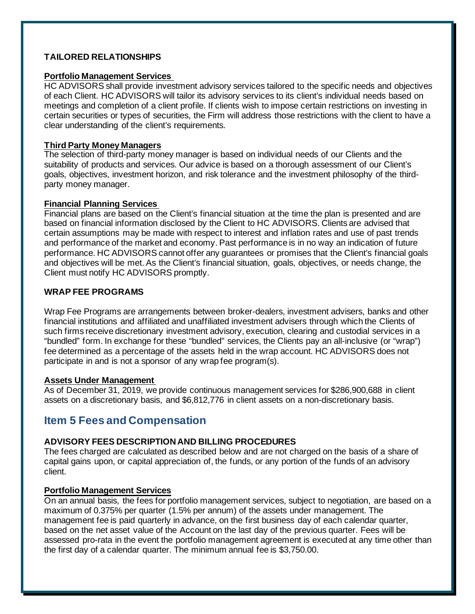#### **TAILORED RELATIONSHIPS**

#### **Portfolio Management Services**

HC ADVISORS shall provide investment advisory services tailored to the specific needs and objectives of each Client. HC ADVISORS will tailor its advisory services to its client's individual needs based on meetings and completion of a client profile. If clients wish to impose certain restrictions on investing in certain securities or types of securities, the Firm will address those restrictions with the client to have a clear understanding of the client's requirements.

#### **Third Party Money Managers**

The selection of third-party money manager is based on individual needs of our Clients and the suitability of products and services. Our advice is based on a thorough assessment of our Client's goals, objectives, investment horizon, and risk tolerance and the investment philosophy of the thirdparty money manager.

#### **Financial Planning Services**

Financial plans are based on the Client's financial situation at the time the plan is presented and are based on financial information disclosed by the Client to HC ADVISORS. Clients are advised that certain assumptions may be made with respect to interest and inflation rates and use of past trends and performance of the market and economy. Past performance is in no way an indication of future performance. HC ADVISORS cannot offer any guarantees or promises that the Client's financial goals and objectives will be met. As the Client's financial situation, goals, objectives, or needs change, the Client must notify HC ADVISORS promptly.

#### **WRAP FEE PROGRAMS**

Wrap Fee Programs are arrangements between broker-dealers, investment advisers, banks and other financial institutions and affiliated and unaffiliated investment advisers through which the Clients of such firms receive discretionary investment advisory, execution, clearing and custodial services in a "bundled" form. In exchange for these "bundled" services, the Clients pay an all-inclusive (or "wrap") fee determined as a percentage of the assets held in the wrap account. HC ADVISORS does not participate in and is not a sponsor of any wrap fee program(s).

#### **Assets Under Management**

As of December 31, 2019, we provide continuous management services for \$286,900,688 in client assets on a discretionary basis, and \$6,812,776 in client assets on a non-discretionary basis.

## <span id="page-5-0"></span>**Item 5 Fees and Compensation**

#### **ADVISORY FEES DESCRIPTION AND BILLING PROCEDURES**

The fees charged are calculated as described below and are not charged on the basis of a share of capital gains upon, or capital appreciation of, the funds, or any portion of the funds of an advisory client.

#### **Portfolio Management Services**

On an annual basis, the fees for portfolio management services, subject to negotiation, are based on a maximum of 0.375% per quarter (1.5% per annum) of the assets under management. The management fee is paid quarterly in advance, on the first business day of each calendar quarter, based on the net asset value of the Account on the last day of the previous quarter. Fees will be assessed pro-rata in the event the portfolio management agreement is executed at any time other than the first day of a calendar quarter. The minimum annual fee is \$3,750.00.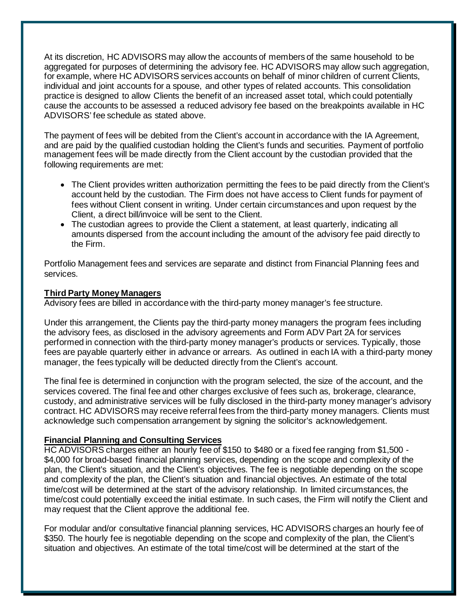At its discretion, HC ADVISORS may allow the accounts of members of the same household to be aggregated for purposes of determining the advisory fee. HC ADVISORS may allow such aggregation, for example, where HC ADVISORS services accounts on behalf of minor children of current Clients, individual and joint accounts for a spouse, and other types of related accounts. This consolidation practice is designed to allow Clients the benefit of an increased asset total, which could potentially cause the accounts to be assessed a reduced advisory fee based on the breakpoints available in HC ADVISORS' fee schedule as stated above.

The payment of fees will be debited from the Client's account in accordance with the IA Agreement, and are paid by the qualified custodian holding the Client's funds and securities. Payment of portfolio management fees will be made directly from the Client account by the custodian provided that the following requirements are met:

- The Client provides written authorization permitting the fees to be paid directly from the Client's account held by the custodian. The Firm does not have access to Client funds for payment of fees without Client consent in writing. Under certain circumstances and upon request by the Client, a direct bill/invoice will be sent to the Client.
- The custodian agrees to provide the Client a statement, at least quarterly, indicating all amounts dispersed from the account including the amount of the advisory fee paid directly to the Firm.

Portfolio Management fees and services are separate and distinct from Financial Planning fees and services.

#### **Third Party Money Managers**

Advisory fees are billed in accordance with the third-party money manager's fee structure.

Under this arrangement, the Clients pay the third-party money managers the program fees including the advisory fees, as disclosed in the advisory agreements and Form ADV Part 2A for services performed in connection with the third-party money manager's products or services. Typically, those fees are payable quarterly either in advance or arrears. As outlined in each IA with a third-party money manager, the fees typically will be deducted directly from the Client's account.

The final fee is determined in conjunction with the program selected, the size of the account, and the services covered. The final fee and other charges exclusive of fees such as, brokerage, clearance, custody, and administrative services will be fully disclosed in the third-party money manager's advisory contract. HC ADVISORS may receive referral fees from the third-party money managers. Clients must acknowledge such compensation arrangement by signing the solicitor's acknowledgement.

#### **Financial Planning and Consulting Services**

HC ADVISORS charges either an hourly fee of \$150 to \$480 or a fixed fee ranging from \$1,500 - \$4,000 for broad-based financial planning services, depending on the scope and complexity of the plan, the Client's situation, and the Client's objectives. The fee is negotiable depending on the scope and complexity of the plan, the Client's situation and financial objectives. An estimate of the total time/cost will be determined at the start of the advisory relationship. In limited circumstances, the time/cost could potentially exceed the initial estimate. In such cases, the Firm will notify the Client and may request that the Client approve the additional fee.

For modular and/or consultative financial planning services, HC ADVISORS charges an hourly fee of \$350. The hourly fee is negotiable depending on the scope and complexity of the plan, the Client's situation and objectives. An estimate of the total time/cost will be determined at the start of the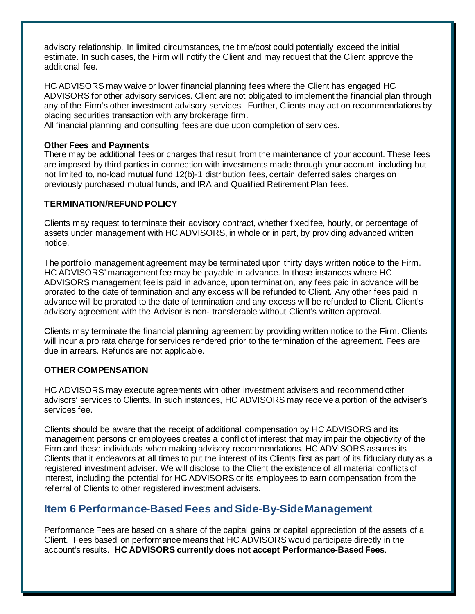advisory relationship. In limited circumstances, the time/cost could potentially exceed the initial estimate. In such cases, the Firm will notify the Client and may request that the Client approve the additional fee.

HC ADVISORS may waive or lower financial planning fees where the Client has engaged HC ADVISORS for other advisory services. Client are not obligated to implement the financial plan through any of the Firm's other investment advisory services. Further, Clients may act on recommendations by placing securities transaction with any brokerage firm.

All financial planning and consulting fees are due upon completion of services.

#### **Other Fees and Payments**

There may be additional fees or charges that result from the maintenance of your account. These fees are imposed by third parties in connection with investments made through your account, including but not limited to, no-load mutual fund 12(b)-1 distribution fees, certain deferred sales charges on previously purchased mutual funds, and IRA and Qualified Retirement Plan fees.

#### **TERMINATION/REFUND POLICY**

Clients may request to terminate their advisory contract, whether fixed fee, hourly, or percentage of assets under management with HC ADVISORS, in whole or in part, by providing advanced written notice.

The portfolio management agreement may be terminated upon thirty days written notice to the Firm. HC ADVISORS' management fee may be payable in advance. In those instances where HC ADVISORS management fee is paid in advance, upon termination, any fees paid in advance will be prorated to the date of termination and any excess will be refunded to Client. Any other fees paid in advance will be prorated to the date of termination and any excess will be refunded to Client. Client's advisory agreement with the Advisor is non- transferable without Client's written approval.

Clients may terminate the financial planning agreement by providing written notice to the Firm. Clients will incur a pro rata charge for services rendered prior to the termination of the agreement. Fees are due in arrears. Refunds are not applicable.

### **OTHER COMPENSATION**

HC ADVISORS may execute agreements with other investment advisers and recommend other advisors' services to Clients. In such instances, HC ADVISORS may receive a portion of the adviser's services fee.

Clients should be aware that the receipt of additional compensation by HC ADVISORS and its management persons or employees creates a conflict of interest that may impair the objectivity of the Firm and these individuals when making advisory recommendations. HC ADVISORS assures its Clients that it endeavors at all times to put the interest of its Clients first as part of its fiduciary duty as a registered investment adviser. We will disclose to the Client the existence of all material conflicts of interest, including the potential for HC ADVISORS or its employees to earn compensation from the referral of Clients to other registered investment advisers.

## <span id="page-7-0"></span>**Item 6 Performance-Based Fees and Side-By-Side Management**

Performance Fees are based on a share of the capital gains or capital appreciation of the assets of a Client. Fees based on performance means that HC ADVISORS would participate directly in the account's results. **HC ADVISORS currently does not accept Performance-Based Fees**.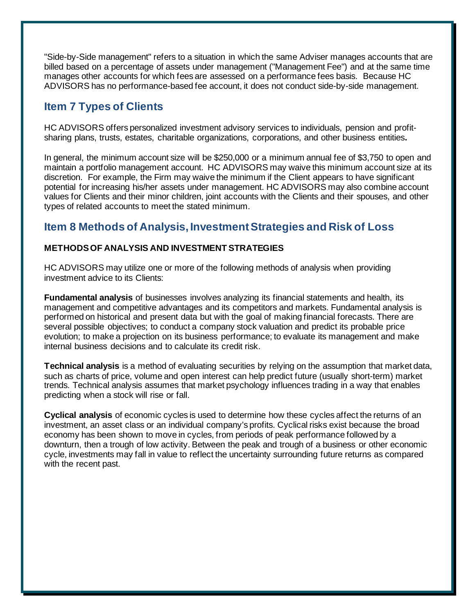"Side-by-Side management" refers to a situation in which the same Adviser manages accounts that are billed based on a percentage of assets under management ("Management Fee") and at the same time manages other accounts for which fees are assessed on a performance fees basis. Because HC ADVISORS has no performance-based fee account, it does not conduct side-by-side management.

# <span id="page-8-0"></span>**Item 7 Types of Clients**

HC ADVISORS offers personalized investment advisory services to individuals, pension and profitsharing plans, trusts, estates, charitable organizations, corporations, and other business entities**.**

In general, the minimum account size will be \$250,000 or a minimum annual fee of \$3,750 to open and maintain a portfolio management account. HC ADVISORS may waive this minimum account size at its discretion. For example, the Firm may waive the minimum if the Client appears to have significant potential for increasing his/her assets under management. HC ADVISORS may also combine account values for Clients and their minor children, joint accounts with the Clients and their spouses, and other types of related accounts to meet the stated minimum.

# <span id="page-8-1"></span>**Item 8 Methods of Analysis, Investment Strategies and Risk of Loss**

#### **METHODS OF ANALYSIS AND INVESTMENT STRATEGIES**

HC ADVISORS may utilize one or more of the following methods of analysis when providing investment advice to its Clients:

**Fundamental analysis** of businesses involves analyzing its financial statements and health, its management and competitive advantages and its competitors and markets. Fundamental analysis is performed on historical and present data but with the goal of making financial forecasts. There are several possible objectives; to conduct a company stock valuation and predict its probable price evolution; to make a projection on its business performance; to evaluate its management and make internal business decisions and to calculate its credit risk.

**Technical analysis** is a method of evaluating securities by relying on the assumption that market data, such as charts of price, volume and open interest can help predict future (usually short-term) market trends. Technical analysis assumes that market psychology influences trading in a way that enables predicting when a stock will rise or fall.

**Cyclical analysis** of economic cycles is used to determine how these cycles affect the returns of an investment, an asset class or an individual company's profits. Cyclical risks exist because the broad economy has been shown to move in cycles, from periods of peak performance followed by a downturn, then a trough of low activity. Between the peak and trough of a business or other economic cycle, investments may fall in value to reflect the uncertainty surrounding future returns as compared with the recent past.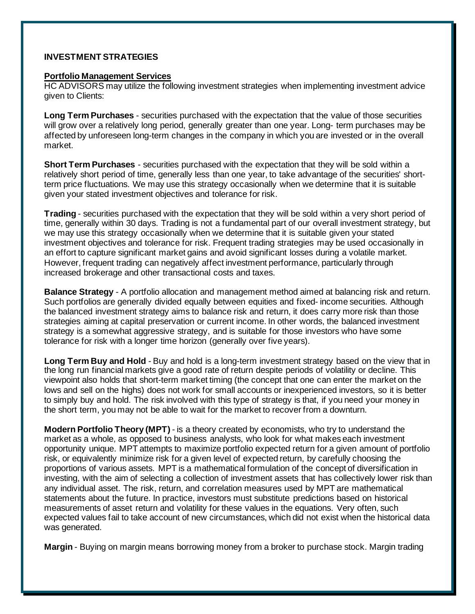#### **INVESTMENT STRATEGIES**

#### **Portfolio Management Services**

HC ADVISORS may utilize the following investment strategies when implementing investment advice given to Clients:

**Long Term Purchases** - securities purchased with the expectation that the value of those securities will grow over a relatively long period, generally greater than one year. Long- term purchases may be affected by unforeseen long-term changes in the company in which you are invested or in the overall market.

**Short Term Purchases** - securities purchased with the expectation that they will be sold within a relatively short period of time, generally less than one year, to take advantage of the securities' shortterm price fluctuations. We may use this strategy occasionally when we determine that it is suitable given your stated investment objectives and tolerance for risk.

**Trading** - securities purchased with the expectation that they will be sold within a very short period of time, generally within 30 days. Trading is not a fundamental part of our overall investment strategy, but we may use this strategy occasionally when we determine that it is suitable given your stated investment objectives and tolerance for risk. Frequent trading strategies may be used occasionally in an effort to capture significant market gains and avoid significant losses during a volatile market. However, frequent trading can negatively affect investment performance, particularly through increased brokerage and other transactional costs and taxes.

**Balance Strategy** - A portfolio allocation and management method aimed at balancing risk and return. Such portfolios are generally divided equally between equities and fixed- income securities. Although the balanced investment strategy aims to balance risk and return, it does carry more risk than those strategies aiming at capital preservation or current income. In other words, the balanced investment strategy is a somewhat aggressive strategy, and is suitable for those investors who have some tolerance for risk with a longer time horizon (generally over five years).

**Long Term Buy and Hold** - Buy and hold is a long-term investment strategy based on the view that in the long run financial markets give a good rate of return despite periods of volatility or decline. This viewpoint also holds that short-term market timing (the concept that one can enter the market on the lows and sell on the highs) does not work for small accounts or inexperienced investors, so it is better to simply buy and hold. The risk involved with this type of strategy is that, if you need your money in the short term, you may not be able to wait for the market to recover from a downturn.

**Modern Portfolio Theory (MPT)** - is a theory created by economists, who try to understand the market as a whole, as opposed to business analysts, who look for what makes each investment opportunity unique. MPT attempts to maximize portfolio expected return for a given amount of portfolio risk, or equivalently minimize risk for a given level of expected return, by carefully choosing the proportions of various assets. MPT is a mathematical formulation of the concept of diversification in investing, with the aim of selecting a collection of investment assets that has collectively lower risk than any individual asset. The risk, return, and correlation measures used by MPT are mathematical statements about the future. In practice, investors must substitute predictions based on historical measurements of asset return and volatility for these values in the equations. Very often, such expected values fail to take account of new circumstances, which did not exist when the historical data was generated.

**Margin** - Buying on margin means borrowing money from a broker to purchase stock. Margin trading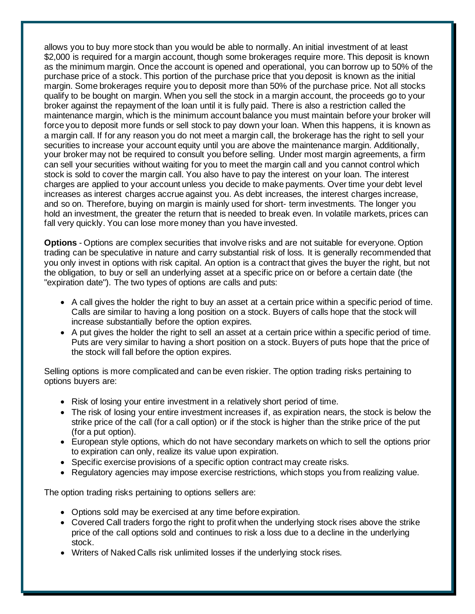allows you to buy more stock than you would be able to normally. An initial investment of at least \$2,000 is required for a margin account, though some brokerages require more. This deposit is known as the minimum margin. Once the account is opened and operational, you can borrow up to 50% of the purchase price of a stock. This portion of the purchase price that you deposit is known as the initial margin. Some brokerages require you to deposit more than 50% of the purchase price. Not all stocks qualify to be bought on margin. When you sell the stock in a margin account, the proceeds go to your broker against the repayment of the loan until it is fully paid. There is also a restriction called the maintenance margin, which is the minimum account balance you must maintain before your broker will force you to deposit more funds or sell stock to pay down your loan. When this happens, it is known as a margin call. If for any reason you do not meet a margin call, the brokerage has the right to sell your securities to increase your account equity until you are above the maintenance margin. Additionally, your broker may not be required to consult you before selling. Under most margin agreements, a firm can sell your securities without waiting for you to meet the margin call and you cannot control which stock is sold to cover the margin call. You also have to pay the interest on your loan. The interest charges are applied to your account unless you decide to make payments. Over time your debt level increases as interest charges accrue against you. As debt increases, the interest charges increase, and so on. Therefore, buying on margin is mainly used for short- term investments. The longer you hold an investment, the greater the return that is needed to break even. In volatile markets, prices can fall very quickly. You can lose more money than you have invested.

**Options** - Options are complex securities that involve risks and are not suitable for everyone. Option trading can be speculative in nature and carry substantial risk of loss. It is generally recommended that you only invest in options with risk capital. An option is a contract that gives the buyer the right, but not the obligation, to buy or sell an underlying asset at a specific price on or before a certain date (the "expiration date"). The two types of options are calls and puts:

- A call gives the holder the right to buy an asset at a certain price within a specific period of time. Calls are similar to having a long position on a stock. Buyers of calls hope that the stock will increase substantially before the option expires.
- A put gives the holder the right to sell an asset at a certain price within a specific period of time. Puts are very similar to having a short position on a stock. Buyers of puts hope that the price of the stock will fall before the option expires.

Selling options is more complicated and can be even riskier. The option trading risks pertaining to options buyers are:

- Risk of losing your entire investment in a relatively short period of time.
- The risk of losing your entire investment increases if, as expiration nears, the stock is below the strike price of the call (for a call option) or if the stock is higher than the strike price of the put (for a put option).
- European style options, which do not have secondary markets on which to sell the options prior to expiration can only, realize its value upon expiration.
- Specific exercise provisions of a specific option contract may create risks.
- Regulatory agencies may impose exercise restrictions, which stops you from realizing value.

The option trading risks pertaining to options sellers are:

- Options sold may be exercised at any time before expiration.
- Covered Call traders forgo the right to profit when the underlying stock rises above the strike price of the call options sold and continues to risk a loss due to a decline in the underlying stock.
- Writers of Naked Calls risk unlimited losses if the underlying stock rises.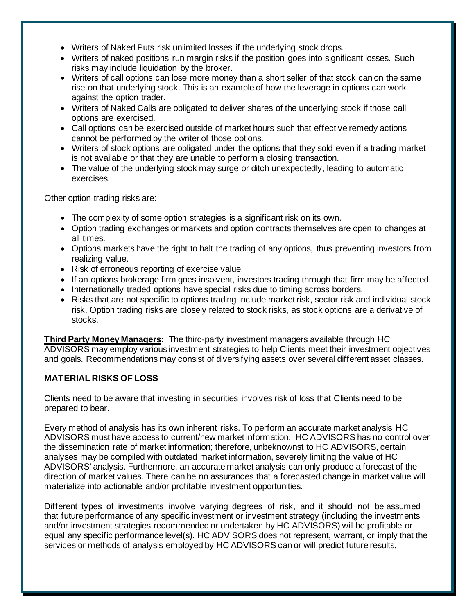- Writers of Naked Puts risk unlimited losses if the underlying stock drops.
- Writers of naked positions run margin risks if the position goes into significant losses. Such risks may include liquidation by the broker.
- Writers of call options can lose more money than a short seller of that stock can on the same rise on that underlying stock. This is an example of how the leverage in options can work against the option trader.
- Writers of Naked Calls are obligated to deliver shares of the underlying stock if those call options are exercised.
- Call options can be exercised outside of market hours such that effective remedy actions cannot be performed by the writer of those options.
- Writers of stock options are obligated under the options that they sold even if a trading market is not available or that they are unable to perform a closing transaction.
- The value of the underlying stock may surge or ditch unexpectedly, leading to automatic exercises.

Other option trading risks are:

- The complexity of some option strategies is a significant risk on its own.
- Option trading exchanges or markets and option contracts themselves are open to changes at all times.
- Options markets have the right to halt the trading of any options, thus preventing investors from realizing value.
- Risk of erroneous reporting of exercise value.
- If an options brokerage firm goes insolvent, investors trading through that firm may be affected.
- Internationally traded options have special risks due to timing across borders.
- Risks that are not specific to options trading include market risk, sector risk and individual stock risk. Option trading risks are closely related to stock risks, as stock options are a derivative of stocks.

**Third Party Money Managers:** The third-party investment managers available through HC ADVISORS may employ various investment strategies to help Clients meet their investment objectives and goals. Recommendations may consist of diversifying assets over several different asset classes.

#### **MATERIAL RISKS OF LOSS**

Clients need to be aware that investing in securities involves risk of loss that Clients need to be prepared to bear.

Every method of analysis has its own inherent risks. To perform an accurate market analysis HC ADVISORS must have access to current/new market information. HC ADVISORS has no control over the dissemination rate of market information; therefore, unbeknownst to HC ADVISORS, certain analyses may be compiled with outdated market information, severely limiting the value of HC ADVISORS' analysis. Furthermore, an accurate market analysis can only produce a forecast of the direction of market values. There can be no assurances that a forecasted change in market value will materialize into actionable and/or profitable investment opportunities.

Different types of investments involve varying degrees of risk, and it should not be assumed that future performance of any specific investment or investment strategy (including the investments and/or investment strategies recommended or undertaken by HC ADVISORS) will be profitable or equal any specific performance level(s). HC ADVISORS does not represent, warrant, or imply that the services or methods of analysis employed by HC ADVISORS can or will predict future results,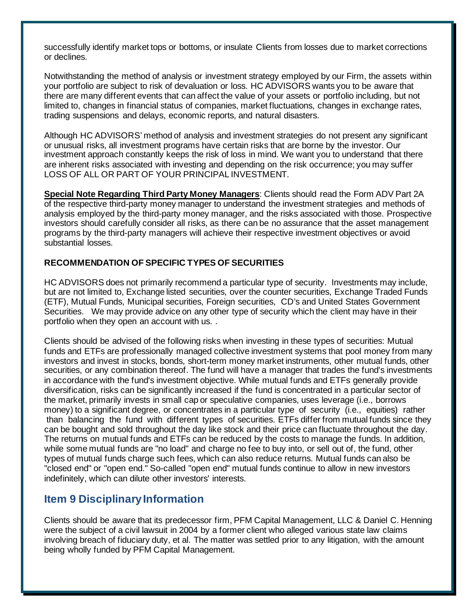successfully identify market tops or bottoms, or insulate Clients from losses due to market corrections or declines.

Notwithstanding the method of analysis or investment strategy employed by our Firm, the assets within your portfolio are subject to risk of devaluation or loss. HC ADVISORS wants you to be aware that there are many different events that can affect the value of your assets or portfolio including, but not limited to, changes in financial status of companies, market fluctuations, changes in exchange rates, trading suspensions and delays, economic reports, and natural disasters.

Although HC ADVISORS' method of analysis and investment strategies do not present any significant or unusual risks, all investment programs have certain risks that are borne by the investor. Our investment approach constantly keeps the risk of loss in mind. We want you to understand that there are inherent risks associated with investing and depending on the risk occurrence; you may suffer LOSS OF ALL OR PART OF YOUR PRINCIPAL INVESTMENT.

**Special Note Regarding Third Party Money Managers**: Clients should read the Form ADV Part 2A of the respective third-party money manager to understand the investment strategies and methods of analysis employed by the third-party money manager, and the risks associated with those. Prospective investors should carefully consider all risks, as there can be no assurance that the asset management programs by the third-party managers will achieve their respective investment objectives or avoid substantial losses.

#### **RECOMMENDATION OF SPECIFIC TYPES OF SECURITIES**

HC ADVISORS does not primarily recommend a particular type of security. Investments may include, but are not limited to, Exchange listed securities, over the counter securities, Exchange Traded Funds (ETF), Mutual Funds, Municipal securities, Foreign securities, CD's and United States Government Securities. We may provide advice on any other type of security which the client may have in their portfolio when they open an account with us. .

Clients should be advised of the following risks when investing in these types of securities: Mutual funds and ETFs are professionally managed collective investment systems that pool money from many investors and invest in stocks, bonds, short-term money market instruments, other mutual funds, other securities, or any combination thereof. The fund will have a manager that trades the fund's investments in accordance with the fund's investment objective. While mutual funds and ETFs generally provide diversification, risks can be significantly increased if the fund is concentrated in a particular sector of the market, primarily invests in small cap or speculative companies, uses leverage (i.e., borrows money) to a significant degree, or concentrates in a particular type of security (i.e., equities) rather than balancing the fund with different types of securities. ETFs differ from mutual funds since they can be bought and sold throughout the day like stock and their price can fluctuate throughout the day. The returns on mutual funds and ETFs can be reduced by the costs to manage the funds. In addition, while some mutual funds are "no load" and charge no fee to buy into, or sell out of, the fund, other types of mutual funds charge such fees, which can also reduce returns. Mutual funds can also be "closed end" or "open end." So-called "open end" mutual funds continue to allow in new investors indefinitely, which can dilute other investors' interests.

## <span id="page-12-0"></span>**Item 9 Disciplinary Information**

Clients should be aware that its predecessor firm, PFM Capital Management, LLC & Daniel C. Henning were the subject of a civil lawsuit in 2004 by a former client who alleged various state law claims involving breach of fiduciary duty, et al. The matter was settled prior to any litigation, with the amount being wholly funded by PFM Capital Management.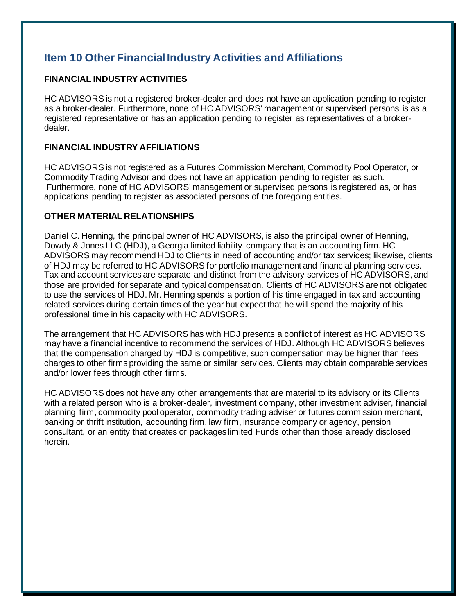# <span id="page-13-0"></span>**Item 10 Other Financial Industry Activities and Affiliations**

#### **FINANCIAL INDUSTRY ACTIVITIES**

HC ADVISORS is not a registered broker-dealer and does not have an application pending to register as a broker-dealer. Furthermore, none of HC ADVISORS' management or supervised persons is as a registered representative or has an application pending to register as representatives of a brokerdealer.

#### **FINANCIAL INDUSTRY AFFILIATIONS**

HC ADVISORS is not registered as a Futures Commission Merchant, Commodity Pool Operator, or Commodity Trading Advisor and does not have an application pending to register as such. Furthermore, none of HC ADVISORS' management or supervised persons is registered as, or has applications pending to register as associated persons of the foregoing entities.

#### **OTHER MATERIAL RELATIONSHIPS**

Daniel C. Henning, the principal owner of HC ADVISORS, is also the principal owner of Henning, Dowdy & Jones LLC (HDJ), a Georgia limited liability company that is an accounting firm. HC ADVISORS may recommend HDJ to Clients in need of accounting and/or tax services; likewise, clients of HDJ may be referred to HC ADVISORS for portfolio management and financial planning services. Tax and account services are separate and distinct from the advisory services of HC ADVISORS, and those are provided for separate and typical compensation. Clients of HC ADVISORS are not obligated to use the services of HDJ. Mr. Henning spends a portion of his time engaged in tax and accounting related services during certain times of the year but expect that he will spend the majority of his professional time in his capacity with HC ADVISORS.

The arrangement that HC ADVISORS has with HDJ presents a conflict of interest as HC ADVISORS may have a financial incentive to recommend the services of HDJ. Although HC ADVISORS believes that the compensation charged by HDJ is competitive, such compensation may be higher than fees charges to other firms providing the same or similar services. Clients may obtain comparable services and/or lower fees through other firms.

HC ADVISORS does not have any other arrangements that are material to its advisory or its Clients with a related person who is a broker-dealer, investment company, other investment adviser, financial planning firm, commodity pool operator, commodity trading adviser or futures commission merchant, banking or thrift institution, accounting firm, law firm, insurance company or agency, pension consultant, or an entity that creates or packages limited Funds other than those already disclosed herein.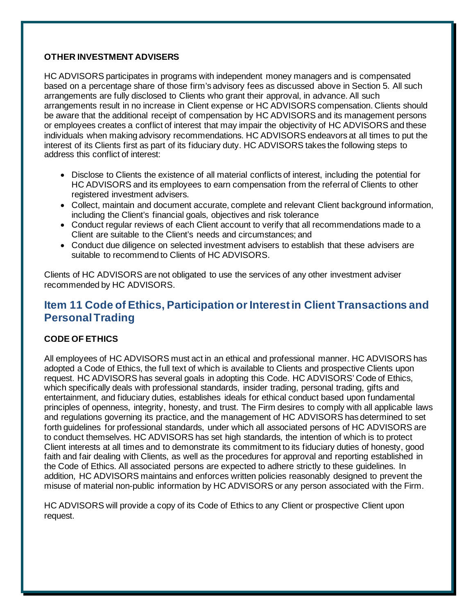#### **OTHER INVESTMENT ADVISERS**

HC ADVISORS participates in programs with independent money managers and is compensated based on a percentage share of those firm's advisory fees as discussed above in Section 5. All such arrangements are fully disclosed to Clients who grant their approval, in advance. All such arrangements result in no increase in Client expense or HC ADVISORS compensation. Clients should be aware that the additional receipt of compensation by HC ADVISORS and its management persons or employees creates a conflict of interest that may impair the objectivity of HC ADVISORS and these individuals when making advisory recommendations. HC ADVISORS endeavors at all times to put the interest of its Clients first as part of its fiduciary duty. HC ADVISORS takes the following steps to address this conflict of interest:

- Disclose to Clients the existence of all material conflicts of interest, including the potential for HC ADVISORS and its employees to earn compensation from the referral of Clients to other registered investment advisers.
- Collect, maintain and document accurate, complete and relevant Client background information, including the Client's financial goals, objectives and risk tolerance
- Conduct regular reviews of each Client account to verify that all recommendations made to a Client are suitable to the Client's needs and circumstances; and
- Conduct due diligence on selected investment advisers to establish that these advisers are suitable to recommend to Clients of HC ADVISORS.

Clients of HC ADVISORS are not obligated to use the services of any other investment adviser recommended by HC ADVISORS.

# <span id="page-14-0"></span>**Item 11 Code of Ethics, Participation or Interest in Client Transactions and Personal Trading**

#### **CODE OF ETHICS**

All employees of HC ADVISORS must act in an ethical and professional manner. HC ADVISORS has adopted a Code of Ethics, the full text of which is available to Clients and prospective Clients upon request. HC ADVISORS has several goals in adopting this Code. HC ADVISORS' Code of Ethics, which specifically deals with professional standards, insider trading, personal trading, gifts and entertainment, and fiduciary duties, establishes ideals for ethical conduct based upon fundamental principles of openness, integrity, honesty, and trust. The Firm desires to comply with all applicable laws and regulations governing its practice, and the management of HC ADVISORS has determined to set forth guidelines for professional standards, under which all associated persons of HC ADVISORS are to conduct themselves. HC ADVISORS has set high standards, the intention of which is to protect Client interests at all times and to demonstrate its commitment to its fiduciary duties of honesty, good faith and fair dealing with Clients, as well as the procedures for approval and reporting established in the Code of Ethics. All associated persons are expected to adhere strictly to these guidelines. In addition, HC ADVISORS maintains and enforces written policies reasonably designed to prevent the misuse of material non-public information by HC ADVISORS or any person associated with the Firm.

HC ADVISORS will provide a copy of its Code of Ethics to any Client or prospective Client upon request.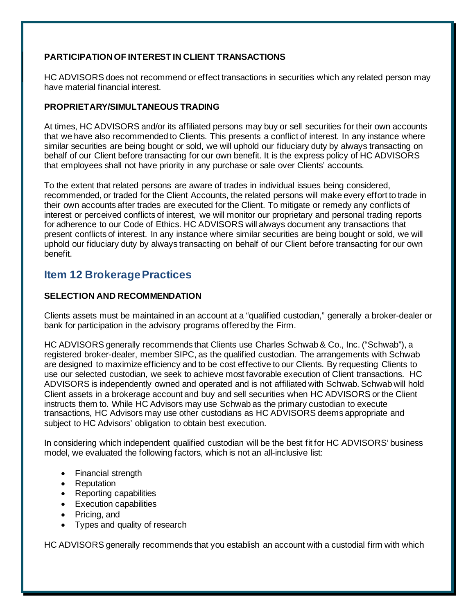#### **PARTICIPATION OF INTEREST IN CLIENT TRANSACTIONS**

HC ADVISORS does not recommend or effect transactions in securities which any related person may have material financial interest.

#### **PROPRIETARY/SIMULTANEOUS TRADING**

At times, HC ADVISORS and/or its affiliated persons may buy or sell securities for their own accounts that we have also recommended to Clients. This presents a conflict of interest. In any instance where similar securities are being bought or sold, we will uphold our fiduciary duty by always transacting on behalf of our Client before transacting for our own benefit. It is the express policy of HC ADVISORS that employees shall not have priority in any purchase or sale over Clients' accounts.

To the extent that related persons are aware of trades in individual issues being considered, recommended, or traded for the Client Accounts, the related persons will make every effort to trade in their own accounts after trades are executed for the Client. To mitigate or remedy any conflicts of interest or perceived conflicts of interest, we will monitor our proprietary and personal trading reports for adherence to our Code of Ethics. HC ADVISORS will always document any transactions that present conflicts of interest. In any instance where similar securities are being bought or sold, we will uphold our fiduciary duty by always transacting on behalf of our Client before transacting for our own benefit.

## <span id="page-15-0"></span>**Item 12 Brokerage Practices**

#### **SELECTION AND RECOMMENDATION**

Clients assets must be maintained in an account at a "qualified custodian," generally a broker-dealer or bank for participation in the advisory programs offered by the Firm.

HC ADVISORS generally recommends that Clients use Charles Schwab & Co., Inc. ("Schwab"), a registered broker-dealer, member SIPC, as the qualified custodian. The arrangements with Schwab are designed to maximize efficiency and to be cost effective to our Clients. By requesting Clients to use our selected custodian, we seek to achieve most favorable execution of Client transactions. HC ADVISORS is independently owned and operated and is not affiliated with Schwab. Schwab will hold Client assets in a brokerage account and buy and sell securities when HC ADVISORS or the Client instructs them to. While HC Advisors may use Schwab as the primary custodian to execute transactions, HC Advisors may use other custodians as HC ADVISORS deems appropriate and subject to HC Advisors' obligation to obtain best execution.

In considering which independent qualified custodian will be the best fit for HC ADVISORS' business model, we evaluated the following factors, which is not an all-inclusive list:

- Financial strength
- **Reputation**
- Reporting capabilities
- Execution capabilities
- Pricing, and
- Types and quality of research

HC ADVISORS generally recommends that you establish an account with a custodial firm with which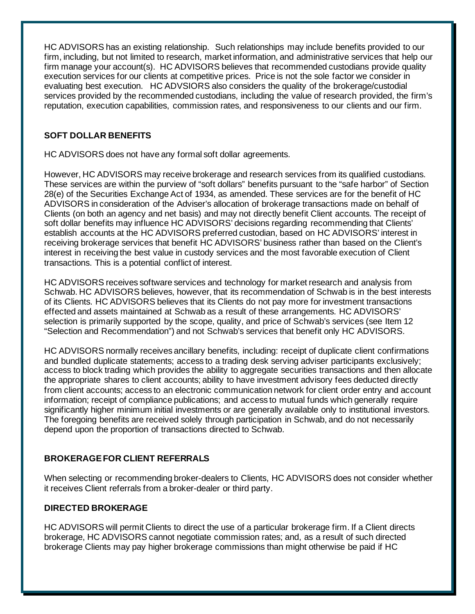HC ADVISORS has an existing relationship. Such relationships may include benefits provided to our firm, including, but not limited to research, market information, and administrative services that help our firm manage your account(s). HC ADVISORS believes that recommended custodians provide quality execution services for our clients at competitive prices. Price is not the sole factor we consider in evaluating best execution. HC ADVSIORS also considers the quality of the brokerage/custodial services provided by the recommended custodians, including the value of research provided, the firm's reputation, execution capabilities, commission rates, and responsiveness to our clients and our firm.

#### **SOFT DOLLAR BENEFITS**

HC ADVISORS does not have any formal soft dollar agreements.

However, HC ADVISORS may receive brokerage and research services from its qualified custodians. These services are within the purview of "soft dollars" benefits pursuant to the "safe harbor" of Section 28(e) of the Securities Exchange Act of 1934, as amended. These services are for the benefit of HC ADVISORS in consideration of the Adviser's allocation of brokerage transactions made on behalf of Clients (on both an agency and net basis) and may not directly benefit Client accounts. The receipt of soft dollar benefits may influence HC ADVISORS' decisions regarding recommending that Clients' establish accounts at the HC ADVISORS preferred custodian, based on HC ADVISORS' interest in receiving brokerage services that benefit HC ADVISORS' business rather than based on the Client's interest in receiving the best value in custody services and the most favorable execution of Client transactions. This is a potential conflict of interest.

HC ADVISORS receives software services and technology for market research and analysis from Schwab. HC ADVISORS believes, however, that its recommendation of Schwab is in the best interests of its Clients. HC ADVISORS believes that its Clients do not pay more for investment transactions effected and assets maintained at Schwab as a result of these arrangements. HC ADVISORS' selection is primarily supported by the scope, quality, and price of Schwab's services (see Item 12 "Selection and Recommendation") and not Schwab's services that benefit only HC ADVISORS.

HC ADVISORS normally receives ancillary benefits, including: receipt of duplicate client confirmations and bundled duplicate statements; access to a trading desk serving adviser participants exclusively; access to block trading which provides the ability to aggregate securities transactions and then allocate the appropriate shares to client accounts; ability to have investment advisory fees deducted directly from client accounts; access to an electronic communication network for client order entry and account information; receipt of compliance publications; and access to mutual funds which generally require significantly higher minimum initial investments or are generally available only to institutional investors. The foregoing benefits are received solely through participation in Schwab, and do not necessarily depend upon the proportion of transactions directed to Schwab.

#### **BROKERAGE FOR CLIENT REFERRALS**

When selecting or recommending broker-dealers to Clients, HC ADVISORS does not consider whether it receives Client referrals from a broker-dealer or third party.

#### **DIRECTED BROKERAGE**

HC ADVISORS will permit Clients to direct the use of a particular brokerage firm. If a Client directs brokerage, HC ADVISORS cannot negotiate commission rates; and, as a result of such directed brokerage Clients may pay higher brokerage commissions than might otherwise be paid if HC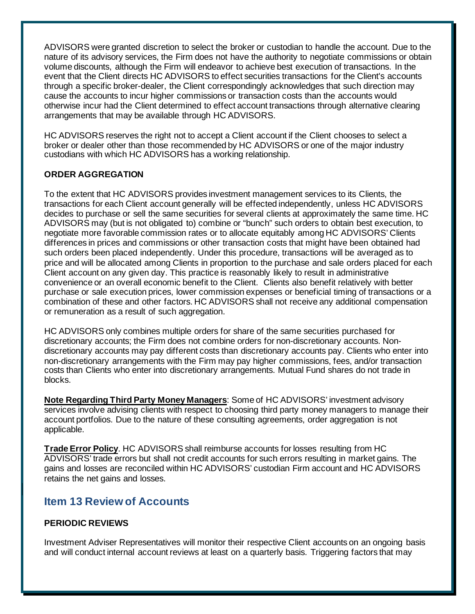ADVISORS were granted discretion to select the broker or custodian to handle the account. Due to the nature of its advisory services, the Firm does not have the authority to negotiate commissions or obtain volume discounts, although the Firm will endeavor to achieve best execution of transactions. In the event that the Client directs HC ADVISORS to effect securities transactions for the Client's accounts through a specific broker-dealer, the Client correspondingly acknowledges that such direction may cause the accounts to incur higher commissions or transaction costs than the accounts would otherwise incur had the Client determined to effect account transactions through alternative clearing arrangements that may be available through HC ADVISORS.

HC ADVISORS reserves the right not to accept a Client account if the Client chooses to select a broker or dealer other than those recommended by HC ADVISORS or one of the major industry custodians with which HC ADVISORS has a working relationship.

#### **ORDER AGGREGATION**

To the extent that HC ADVISORS provides investment management services to its Clients, the transactions for each Client account generally will be effected independently, unless HC ADVISORS decides to purchase or sell the same securities for several clients at approximately the same time. HC ADVISORS may (but is not obligated to) combine or "bunch" such orders to obtain best execution, to negotiate more favorable commission rates or to allocate equitably among HC ADVISORS' Clients differences in prices and commissions or other transaction costs that might have been obtained had such orders been placed independently. Under this procedure, transactions will be averaged as to price and will be allocated among Clients in proportion to the purchase and sale orders placed for each Client account on any given day. This practice is reasonably likely to result in administrative convenience or an overall economic benefit to the Client. Clients also benefit relatively with better purchase or sale execution prices, lower commission expenses or beneficial timing of transactions or a combination of these and other factors. HC ADVISORS shall not receive any additional compensation or remuneration as a result of such aggregation.

HC ADVISORS only combines multiple orders for share of the same securities purchased for discretionary accounts; the Firm does not combine orders for non-discretionary accounts. Nondiscretionary accounts may pay different costs than discretionary accounts pay. Clients who enter into non-discretionary arrangements with the Firm may pay higher commissions, fees, and/or transaction costs than Clients who enter into discretionary arrangements. Mutual Fund shares do not trade in blocks.

**Note Regarding Third Party Money Managers**: Some of HC ADVISORS' investment advisory services involve advising clients with respect to choosing third party money managers to manage their account portfolios. Due to the nature of these consulting agreements, order aggregation is not applicable.

**Trade Error Policy**. HC ADVISORS shall reimburse accounts for losses resulting from HC ADVISORS' trade errors but shall not credit accounts for such errors resulting in market gains. The gains and losses are reconciled within HC ADVISORS' custodian Firm account and HC ADVISORS retains the net gains and losses.

# <span id="page-17-0"></span>**Item 13 Review of Accounts**

#### **PERIODIC REVIEWS**

Investment Adviser Representatives will monitor their respective Client accounts on an ongoing basis and will conduct internal account reviews at least on a quarterly basis. Triggering factors that may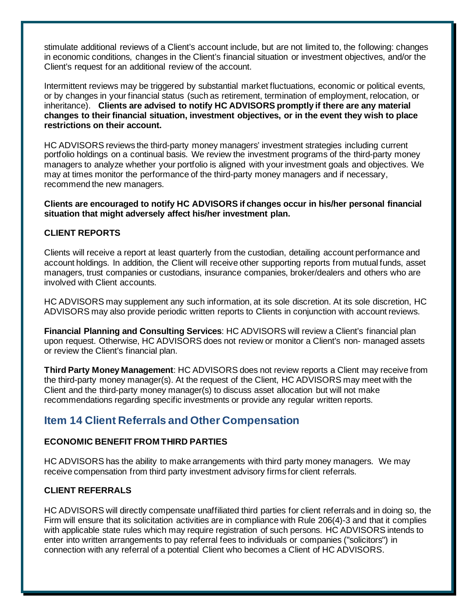stimulate additional reviews of a Client's account include, but are not limited to, the following: changes in economic conditions, changes in the Client's financial situation or investment objectives, and/or the Client's request for an additional review of the account.

Intermittent reviews may be triggered by substantial market fluctuations, economic or political events, or by changes in your financial status (such as retirement, termination of employment, relocation, or inheritance). **Clients are advised to notify HC ADVISORS promptly if there are any material changes to their financial situation, investment objectives, or in the event they wish to place restrictions on their account.**

HC ADVISORS reviews the third-party money managers' investment strategies including current portfolio holdings on a continual basis. We review the investment programs of the third-party money managers to analyze whether your portfolio is aligned with your investment goals and objectives. We may at times monitor the performance of the third-party money managers and if necessary, recommend the new managers.

**Clients are encouraged to notify HC ADVISORS if changes occur in his/her personal financial situation that might adversely affect his/her investment plan.**

#### **CLIENT REPORTS**

Clients will receive a report at least quarterly from the custodian, detailing account performance and account holdings. In addition, the Client will receive other supporting reports from mutual funds, asset managers, trust companies or custodians, insurance companies, broker/dealers and others who are involved with Client accounts.

HC ADVISORS may supplement any such information, at its sole discretion. At its sole discretion, HC ADVISORS may also provide periodic written reports to Clients in conjunction with account reviews.

**Financial Planning and Consulting Services**: HC ADVISORS will review a Client's financial plan upon request. Otherwise, HC ADVISORS does not review or monitor a Client's non- managed assets or review the Client's financial plan.

**Third Party Money Management**: HC ADVISORS does not review reports a Client may receive from the third-party money manager(s). At the request of the Client, HC ADVISORS may meet with the Client and the third-party money manager(s) to discuss asset allocation but will not make recommendations regarding specific investments or provide any regular written reports.

## <span id="page-18-0"></span>**Item 14 Client Referrals and Other Compensation**

#### **ECONOMIC BENEFIT FROM THIRD PARTIES**

HC ADVISORS has the ability to make arrangements with third party money managers. We may receive compensation from third party investment advisory firms for client referrals.

#### **CLIENT REFERRALS**

HC ADVISORS will directly compensate unaffiliated third parties for client referrals and in doing so, the Firm will ensure that its solicitation activities are in compliance with Rule 206(4)-3 and that it complies with applicable state rules which may require registration of such persons. HC ADVISORS intends to enter into written arrangements to pay referral fees to individuals or companies ("solicitors") in connection with any referral of a potential Client who becomes a Client of HC ADVISORS.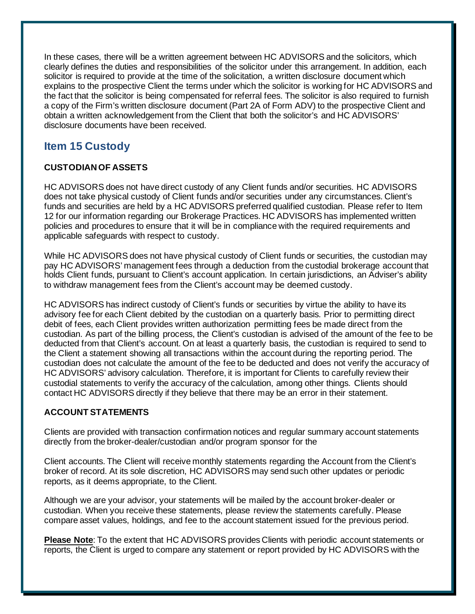In these cases, there will be a written agreement between HC ADVISORS and the solicitors, which clearly defines the duties and responsibilities of the solicitor under this arrangement. In addition, each solicitor is required to provide at the time of the solicitation, a written disclosure document which explains to the prospective Client the terms under which the solicitor is working for HC ADVISORS and the fact that the solicitor is being compensated for referral fees. The solicitor is also required to furnish a copy of the Firm's written disclosure document (Part 2A of Form ADV) to the prospective Client and obtain a written acknowledgement from the Client that both the solicitor's and HC ADVISORS' disclosure documents have been received.

# <span id="page-19-0"></span>**Item 15 Custody**

#### **CUSTODIAN OF ASSETS**

HC ADVISORS does not have direct custody of any Client funds and/or securities. HC ADVISORS does not take physical custody of Client funds and/or securities under any circumstances. Client's funds and securities are held by a HC ADVISORS preferred qualified custodian. Please refer to Item 12 for our information regarding our Brokerage Practices. HC ADVISORS has implemented written policies and procedures to ensure that it will be in compliance with the required requirements and applicable safeguards with respect to custody.

While HC ADVISORS does not have physical custody of Client funds or securities, the custodian may pay HC ADVISORS' management fees through a deduction from the custodial brokerage account that holds Client funds, pursuant to Client's account application. In certain jurisdictions, an Adviser's ability to withdraw management fees from the Client's account may be deemed custody.

HC ADVISORS has indirect custody of Client's funds or securities by virtue the ability to have its advisory fee for each Client debited by the custodian on a quarterly basis. Prior to permitting direct debit of fees, each Client provides written authorization permitting fees be made direct from the custodian. As part of the billing process, the Client's custodian is advised of the amount of the fee to be deducted from that Client's account. On at least a quarterly basis, the custodian is required to send to the Client a statement showing all transactions within the account during the reporting period. The custodian does not calculate the amount of the fee to be deducted and does not verify the accuracy of HC ADVISORS' advisory calculation. Therefore, it is important for Clients to carefully review their custodial statements to verify the accuracy of the calculation, among other things. Clients should contact HC ADVISORS directly if they believe that there may be an error in their statement.

#### **ACCOUNT STATEMENTS**

Clients are provided with transaction confirmation notices and regular summary account statements directly from the broker-dealer/custodian and/or program sponsor for the

Client accounts. The Client will receive monthly statements regarding the Account from the Client's broker of record. At its sole discretion, HC ADVISORS may send such other updates or periodic reports, as it deems appropriate, to the Client.

Although we are your advisor, your statements will be mailed by the account broker-dealer or custodian. When you receive these statements, please review the statements carefully. Please compare asset values, holdings, and fee to the account statement issued for the previous period.

**Please Note**: To the extent that HC ADVISORS provides Clients with periodic account statements or reports, the Client is urged to compare any statement or report provided by HC ADVISORS with the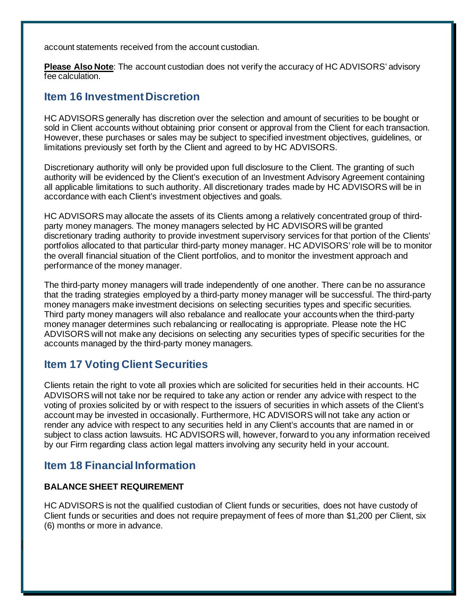account statements received from the account custodian.

**Please Also Note**: The account custodian does not verify the accuracy of HC ADVISORS' advisory fee calculation.

### <span id="page-20-0"></span>**Item 16 Investment Discretion**

HC ADVISORS generally has discretion over the selection and amount of securities to be bought or sold in Client accounts without obtaining prior consent or approval from the Client for each transaction. However, these purchases or sales may be subject to specified investment objectives, guidelines, or limitations previously set forth by the Client and agreed to by HC ADVISORS.

Discretionary authority will only be provided upon full disclosure to the Client. The granting of such authority will be evidenced by the Client's execution of an Investment Advisory Agreement containing all applicable limitations to such authority. All discretionary trades made by HC ADVISORS will be in accordance with each Client's investment objectives and goals.

HC ADVISORS may allocate the assets of its Clients among a relatively concentrated group of thirdparty money managers. The money managers selected by HC ADVISORS will be granted discretionary trading authority to provide investment supervisory services for that portion of the Clients' portfolios allocated to that particular third-party money manager. HC ADVISORS' role will be to monitor the overall financial situation of the Client portfolios, and to monitor the investment approach and performance of the money manager.

The third-party money managers will trade independently of one another. There can be no assurance that the trading strategies employed by a third-party money manager will be successful. The third-party money managers make investment decisions on selecting securities types and specific securities. Third party money managers will also rebalance and reallocate your accounts when the third-party money manager determines such rebalancing or reallocating is appropriate. Please note the HC ADVISORS will not make any decisions on selecting any securities types of specific securities for the accounts managed by the third-party money managers.

## <span id="page-20-1"></span>**Item 17 Voting Client Securities**

Clients retain the right to vote all proxies which are solicited for securities held in their accounts. HC ADVISORS will not take nor be required to take any action or render any advice with respect to the voting of proxies solicited by or with respect to the issuers of securities in which assets of the Client's account may be invested in occasionally. Furthermore, HC ADVISORS will not take any action or render any advice with respect to any securities held in any Client's accounts that are named in or subject to class action lawsuits. HC ADVISORS will, however, forward to you any information received by our Firm regarding class action legal matters involving any security held in your account.

# <span id="page-20-2"></span>**Item 18 Financial Information**

#### **BALANCE SHEET REQUIREMENT**

HC ADVISORS is not the qualified custodian of Client funds or securities, does not have custody of Client funds or securities and does not require prepayment of fees of more than \$1,200 per Client, six (6) months or more in advance.